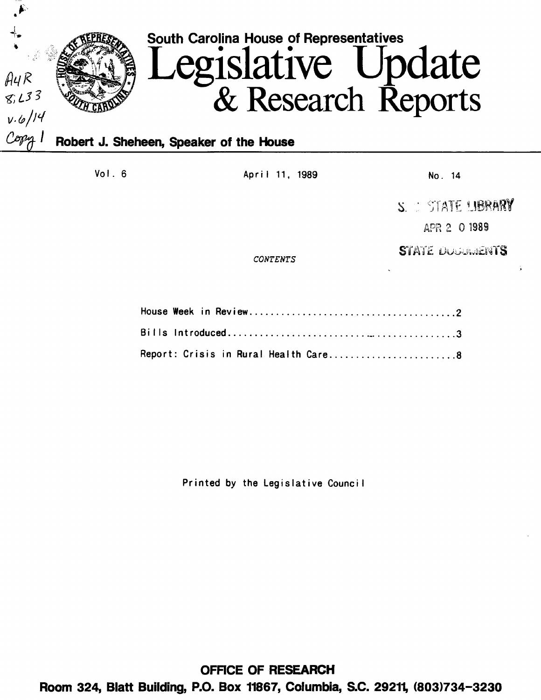

Vol. 6 **April 11, 1989** No. 14

*CONTENTS* 

S. STATE UBRARY APR 2 0 1989

STATE UNGUINENTS

|  | Report: Crisis in Rural Health Care8 |  |  |  |  |
|--|--------------------------------------|--|--|--|--|

Printed by the Legislative Counci I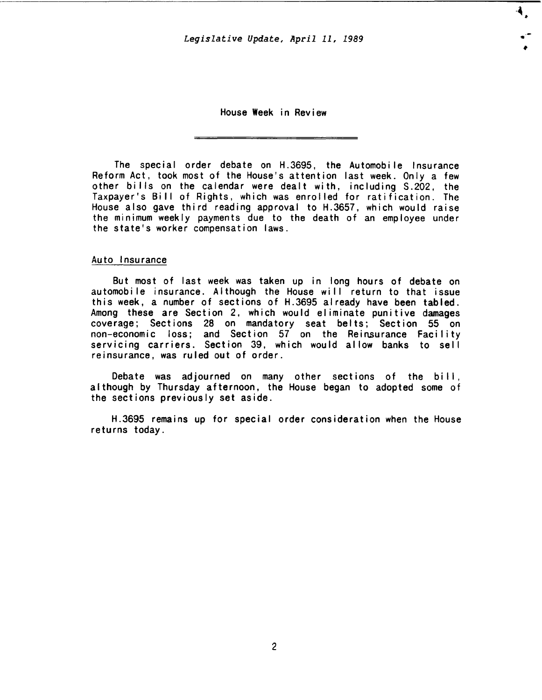.. -

4.

House Week in Review

The special order debate on H.3695, the Automobile Insurance Reform Act, took most of the House's attention last week. Only a few other bi lis on the calendar were dealt with, including S.202, the Taxpayer's Bill of Rights, which was enrolled for ratification. The House also gave third reading approval to H.3657, which would raise the minimum weekly payments due to the death of an employee under the state's worker compensation laws.

## Auto Insurance

But most of last week was taken up in long hours of debate on automobile insurance. Although the House will return to that issue this week, a number of sections of H.3695 already have been tabled. Among these are Section 2, which would eliminate punitive damages coverage; Sections 28 on mandatory seat belts; Section 55 on non-economic loss; and Section 57 on the Reinsurance Facility servicing carriers. Section 39, which would allow banks to sell reinsurance, was ruled out of order.

Debate was adjourned on many other sections of the bill, although by Thursday afternoon, the House began to adopted some of the sections previously set aside.

H.3695 remains up for special order consideration when the House returns today.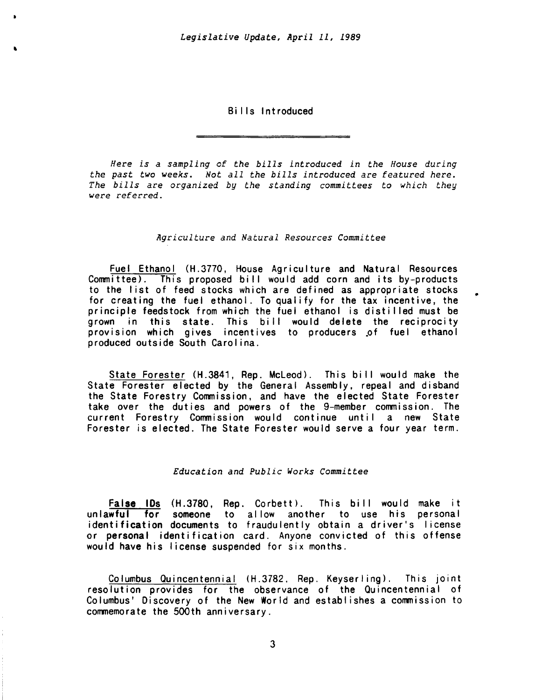Bills Introduced

*Here is a sampling* of *the bills introduced in the House during the past two weeks. Not all the bills introduced are featured here. The bills are organized by the standing committees to which they were referred.* 

## *Agriculture and Natural Resources Committee*

Fuel Ethanol (H.3770, House Agriculture and Natural Resources Committee). This proposed bill would add corn and its by-products to the list of feed stocks which are defined as appropriate stocks for creating the fuel ethanol. To qualify for the tax incentive, the principle feedstock from which the fuel ethanol is disti lied must be grown in this state. This bill would delete the reciprocity provision which gives incentives to producers of fuel ethanol produced outside South Carol ina.

•

State Forester (H.3841, Rep. McLeod). This bill would make the State Forester elected by the General Assembly, repeal and disband the State Forestry Commission, and have the elected State Forester take over the duties and powers of the 9-member commission. The current Forestry Commission would continue until a new State Forester is elected. The State Forester would serve a four year term.

# *Education and Public Works Committee*

False IDs (H.3780, Rep. Corbett). This bill would make it unlawful for someone to allow another to use his personal identification documents to fraudulently obtain a driver's license or personal identification card. Anyone convicted of this offense would have his license suspended for six months.

Columbus Ouincentennial (H.3782, Rep. Keyserling). This joint resolution provides for the observance of the Ouincentennial of Columbus' Discovery of the New World and establishes a commission to commemorate the SOOth anniversary.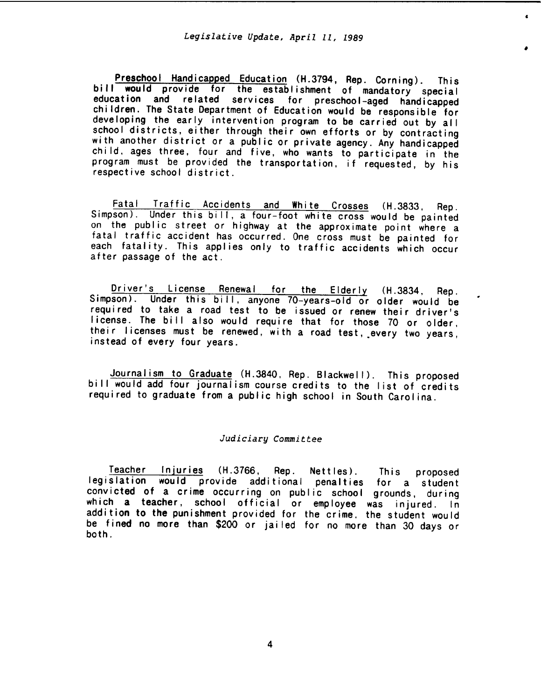•

Preschool Handicapped Education (H.3794, Rep. Corning). This bill would provide for the establishment of mandatory special education and related services for preschool-aged handicapped children. The State Department of Education would be responsible for developing the early intervention program to be carried out by all school districts, either through their own efforts or by contracting with another district or a public or private agency. Any handicapped child, ages three, four and five, who wants to participate in the program must be provided the transportation, if requested, by his respective school district.

Fatal Traffic Accidents and White Crosses (H.3833, Rep. Simpson). Under this bill, a four-foot white cross would be painted on the public street or highway at the approximate point where a fatal traffic accident has occurred. One cross must be painted for each fatality. This applies only to traffic accidents which occur after passage of the act.

Driver's License Renewal for the Elderly (H.3834, Rep. Simpson). Under this bill, anyone 70-years-old or older would be required to take a road test to be issued or renew their driver's license. The bill also would require that for those 70 or older. their licenses must be renewed, with a road test, \_every two years, instead of every four years.

Journalism to Graduate (H.3840, Rep. Blackwell). This proposed bill would add four journalism course credits to the list of credits required to graduate from a public high school in South Carolina.

### *Judiciary Committee*

Teacher Injuries (H.3766, Rep. Nettles). This proposed legislation would provide additional penalties for a student convicted of a crime occurring on public school grounds, during which a teacher, school official or employee was injured. In addition to the punishment provided for the crime. the student would be fined no more than \$200 or jailed for no more than 30 days or both.

4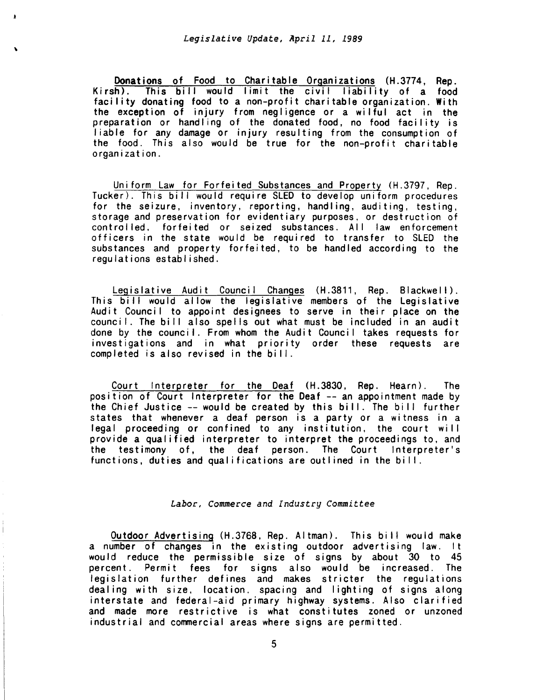$\ddot{\phantom{0}}$ 

Donations of Food to Charitable Organizations (H.3774, Rep. Kirsh). This bill would limit the civil liability of a food facility donating food to a non-profit charitable organization. With the exception of injury from negligence or a wilful act in the preparation or handling of the donated food, no food facility is liable for any damage or injury resulting from the consumption of the food. This also would be true for the non-profit charitable organization.

Uniform Law for Forfeited Substances and Property (H.3797, Rep. Tucker). This bill would require SLED to develop uniform procedures for the seizure, inventory, reporting, handling, auditing, testing, storage and preservation for evidentiary purposes, or destruction of controlled. forfeited or seized substances. All law enforcement officers in the state would be required to transfer to SLED the substances and property forfeited, to be handled according to the regulations established.

Legislative Audit Council Changes (H.3811, Rep. Blackwell). This bill would allow the legislative members of the Legislative Audit Council to appoint designees to serve in their place on the council. The bill also spells out what must be included in an audit done by the council. From whom the Audit Council takes requests for investigations and in what priority order these requests are completed is also revised in the bill.

Court Interpreter for the Deaf (H.3830, Rep. Hearn). The position of Court Interpreter for the Deaf -- an appointment made by the Chief Justice --would be created by this bi II. The bi II further states that whenever a deaf person is a party or a witness in a legal proceeding or confined to any institution, the court will provide a qualified interpreter to interpret the proceedings to, and the testimony of, the deaf person. The Court Interpreter's functions, duties and qualifications are outlined in the bill.

### *Labor, Commerce and Industry Committee*

Outdoor Advertising (H.3768, Rep. Altman). This bi II would make a number of changes in the existing outdoor advertising law. It would reduce the permissible size of signs by about 30 to 45 percent. Permit fees for signs also would be increased. The legislation further defines and makes stricter the regulations dealing with size, location. spacing and lighting of signs along interstate and federal-aid primary highway systems. Also clarified and made more restrictive is what constitutes zoned or unzoned industrial and commercial areas where signs are permitted.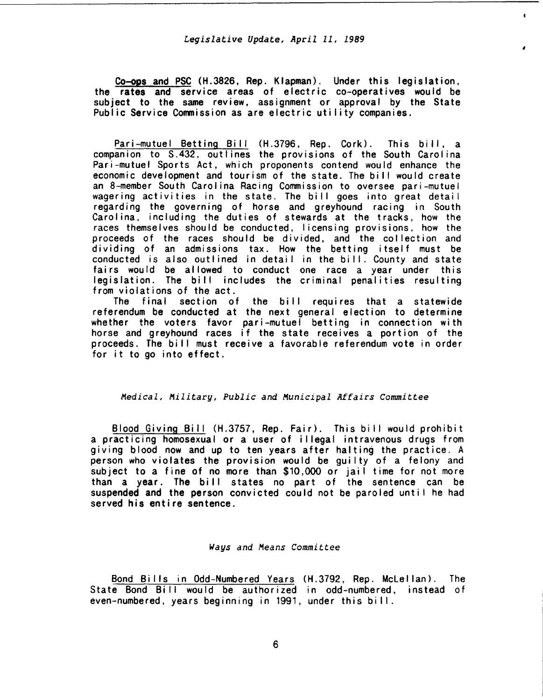$\bullet$ 

Co-ops and PSC (H.3826, Rep. Klapman). Under this legislation, the rates and service areas of electric co-operatives would be subject to the same review, assignment or approval by the State Public Service Commission as are electric utility companies.

Pari-mutuel Betting Bill (H.3796, Rep. Cork). This bill, a companion to S.432, outlines the provisions of the South Carolina Pari-mutuel Sports Act, which proponents contend would enhance the economic development and tourism of the state. The bill would create an 8-member South Carolina Racing Commission to oversee pari-mutuel wagering activities in the state. The bill goes into great detail regarding the governing of horse and greyhound racing in South Carolina, including the duties of stewards at the tracks, how the races themselves should be conducted, licensing provisions. how the proceeds of the races should be divided, and the collection and dividing of an admissions tax. How the betting itself must be conducted is also outlined in detail in the bill. County and state fairs would be allowed to conduct one race a year under this legislation. The bill includes the criminal penalities resulting from violations of the act.

The final section of the bill requires that a statewide referendum be conducted at the next general election to determine whether the voters favor pari-mutuel betting in connection with horse and greyhound races if the state receives a portion of the proceeds. The bill must receive a favorable referendum vote in order for it to go into effect.

## *Medical, Military, Public and Municipal Affairs Committee*

Blood Giving Bill (H.3757, Rep. Fair). This bill would prohibit a practicing homosexual or a user of i I legal intravenous drugs from giving blood now and up to ten years after halting the practice. A person who violates the provision would be guilty of a felony and subject to a fine of no more than \$10,000 or jail time for not more than a year. The bill states no part of the sentence can be suspended and the person convicted could not be paroled until he had served his entire sentence.

### *Ways and Means Committee*

Bond Bi lis in Odd-Numbered Years (H.3792, Rep. Mclellan). The State Bond Bill would be authorized in odd-numbered, instead of even-numbered, years beginning in 1991, under this bill.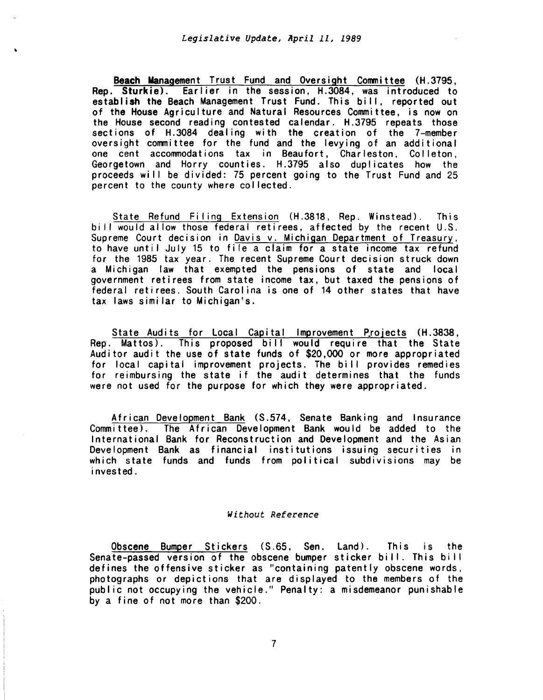Beach Management Trust Fund and Oversight Committee (H.3795, Rep. Sturkie). Earlier in the session, H.3084, was introduced to establish the Beach Management Trust Fund. This bi II, reported out of the House Agriculture and Natural Resources Committee, is now on the House second reading contested calendar. H.3795 repeats those sections of H.3084 dealing with the creation of the 7-member oversight committee for the fund and the levying of an additional one cent accommodations tax in Beaufort, Charleston, Col leton, Georgetown and Harry counties. H.3795 also duplicates how the proceeds will be divided: 75 percent going to the Trust Fund and 25 percent to the county where collected.

State Refund Filing Extension (H.3818, Rep. Winstead). This bi II would allow those federal retirees, affected by the recent U.S. Supreme Court decision in Davis v. Michigan Department of Treasury, to have until July 15 to file a claim for a state income tax refund for the 1985 tax year. The recent Supreme Court decision struck down a Michigan law that exempted the pensions of state and local government retirees from state income tax, but taxed the pensions of federal retirees. South Carol ina is one of 14 other states that have tax laws similar to Michigan's.

State Audits for Local Capital Improvement Projects (H.3838, Rep. Mattos). This proposed bill would require that the State Auditor audit the use of state funds of \$20,000 or more appropriated for local capital improvement projects. The bi II provides remedies for reimbursing the state if the audit determines that the funds were not used for the purpose for which they were appropriated.

African Development Bank (S.574, Senate Banking and Insurance Committee). The African Development Bank would be added to the International Bank for Reconstruction and Development and the Asian Development Bank as financial institutions issuing securities in which state funds and funds from political subdivisions may be invested.

## *Without Reference*

Obscene Bumper Stickers (S.65, Sen. Land). This is the Senate-passed version of the obscene bumper sticker bill. This bill defines the offensive sticker as ''containing patently obscene words, photographs or depict ions that are displayed to the members of the public not occupying the vehicle." Penalty: a misdemeanor punishable by a fine of not more than \$200.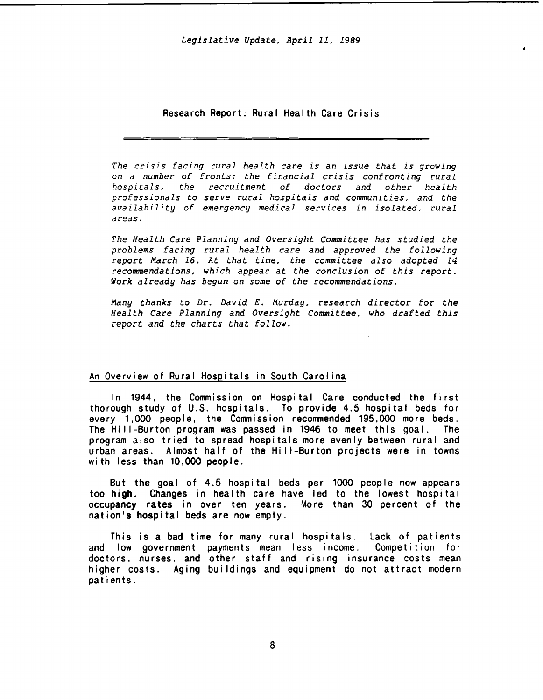## Research Report: Rural Health Care Crisis

The crisis facing rural health care is an issue that is growing on a number of fronts: the financial crisis confronting rural hospitals, the recruitment of doctors and other health professionals to serve rural hospitals and communities, and the availability of emergency medical services in isolated, rural areas.

The Health Care Planning and Oversight Committee has studied the problems facing rural health care and approved the following report March 16. At that time, the committee also adopted 14 recommendations, which appear at the conclusion of this report. Work already has begun on some of the recommendations.

Many thanks to Dr. David E. Murday, research director for the Health Care Planning and Oversight Committee, who drafted this report and the charts that follow.

# An Overview of Rural Hospitals in South Carol ina

In 1944, the Commission on Hospital Care conducted the first thorough study of U.S. hospitals. To provide 4.5 hospital beds for every 1,000 people, the Commission recommended 195,000 more beds. The Hi 11-Burton program was passed in 1946 to meet this goal. The program also tried to spread hospitals more evenly between rural and urban areas. Almost half of the Hi I 1-Burton projects were in towns with less than 10,000 people.

But the goal of 4.5 hospital beds per 1000 people now appears too high. Changes in health care have led to the lowest hospital occupancy rates in over ten years. More than 30 percent of the nation's hospital beds are now empty.

This is a bad time for many rural hospitals. Lack of patients and low government payments mean less income. Competition for doctors, nurses, and other staff and rising insurance costs mean higher costs. Aging buildings and equipment do not attract modern patients.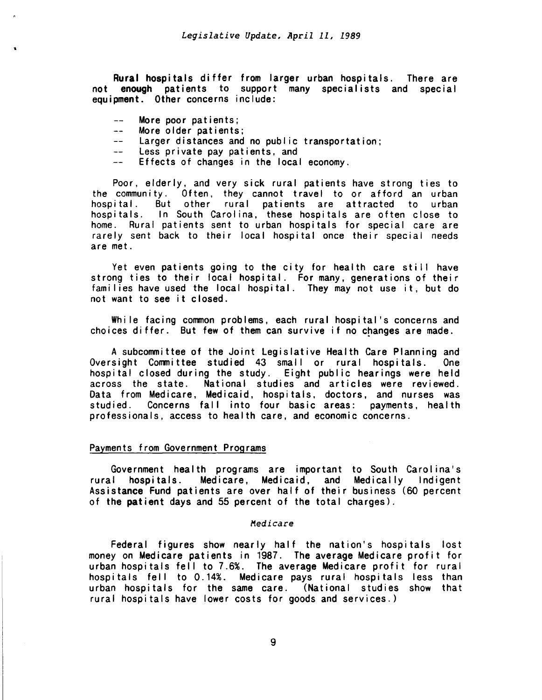Rural hospitals differ from larger urban hospitals. There are not enough patients to support many specialists and special equipment. Other concerns include:

- More poor patients;  $---$
- More older patients;  $+ -$
- -- Larger distances and no public transportation;
- -- Less private pay patients, and
- $\frac{1}{2} \frac{1}{2} \frac{1}{2} \frac{1}{2} \frac{1}{2} \frac{1}{2} \frac{1}{2} \frac{1}{2} \frac{1}{2} \frac{1}{2} \frac{1}{2} \frac{1}{2} \frac{1}{2} \frac{1}{2} \frac{1}{2} \frac{1}{2} \frac{1}{2} \frac{1}{2} \frac{1}{2} \frac{1}{2} \frac{1}{2} \frac{1}{2} \frac{1}{2} \frac{1}{2} \frac{1}{2} \frac{1}{2} \frac{1}{2} \frac{1}{2} \frac{1}{2} \frac{1}{2} \frac{1}{2} \frac{$ Effects of changes in the local economy.

Poor, elderly, and very sick rural patients have strong ties to the community. Often, they cannot travel to or afford an urban But other rural patients are attracted to urban hospitals. In South Carolina, these hospitals are often close to home. Rural patients sent to urban hospitals for special care are rarely sent back to their local hospital once their special needs are met.

Yet even patients going to the city for health care still have strong ties to their local hospital. For many, generations of their families have used the local hospital. They may not use it, but do not want to see it closed.

While facing common problems, each rural hospital's concerns and choices differ. But few of them can survive if no changes are made.

A subcommittee of the Joint Legislative Health Care Planning and Oversight Committee studied 43 small or rural hospitals. One hospital closed during the study. Eight public hearings were held across the state. National studies and articles were reviewed. Data from Medicare, Medicaid, hospitals, doctors, and nurses was studied. Concerns fall into four basic areas: payments, health professionals, access to health care, and economic concerns.

# Payments from Government Programs

Government health programs are important to South Carolina's rural hospitals. Medicare, Medicaid, and Medicaily Indigent Medicare, Medicaid, and Medically Indigent Assistance Fund patients are over half of their business (60 percent of the patient days and 55 percent of the total charges).

#### *Medicare*

Federal figures show nearly half the nation's hospitals lost money on Medicare patients in 1987. The average Medicare profit for urban hospitals fell to 7.6%. The average Medicare profit for rural hospitals fell to 0.14%. Medicare pays rural hospitals less than urban hospitals for the same care. (National studies show that rural hospitals have lower costs for goods and services.)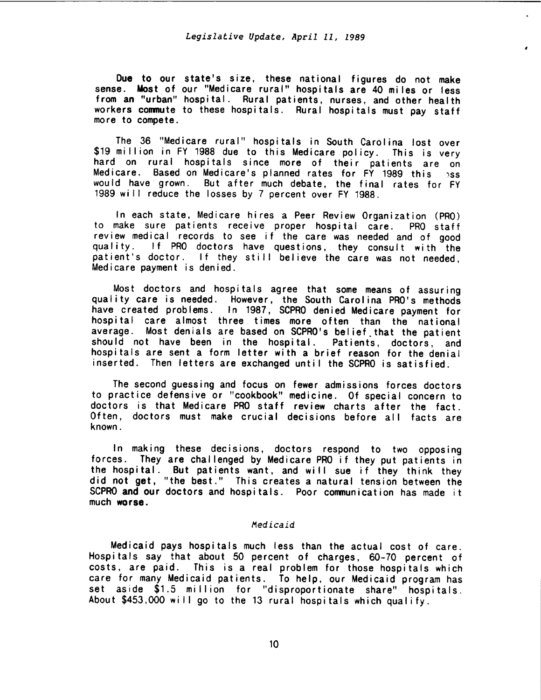I

Due to our state's size, these national figures do not make sense. Most of our "Medicare rural" hospitals are 40 miles or less from an "urban" hospital. Rural patients, nurses, and other health workers commute to these hospitals. Rural hospitals must pay staff more to compete.

The 36 "Medicare rural" hospitals in South Carolina lost over \$19 million in FY 1988 due to this Medicare policy. This is very hard on rural hospitals since more of their patients are on Medicare. Based on Medicare's planned rates for FY 1989 this 3ss would have· grown. But after much debate, the final rates for FY 1989 will reduce the losses by 7 percent over FY 1988.

In each state, Medicare hires a Peer Review Organization (PRO) to make sure patients receive proper hospital care. PRO staff review medical records to see if the care was needed and of good quality. If PRO doctors have questions, they consult with the patient's doctor. If they still believe the care was not needed, Medicare payment is denied.

Most doctors and hospitals agree that some means of assuring quality care is needed. However, the South Carolina PRO's methods have created problems. In 1987, SCPRO denied Medicare payment for hospital care almost three times more often than the national average. Most denials are based on SCPRO's belief that the patient should not have been in the hospital. Patients, doctors, and hospitals are sent a form letter with a brief reason for the denial inserted. Then letters are exchanged until the SCPRO is satisfied.

The second guessing and focus on fewer admissions forces doctors to practice defensive or "cookbook" medicine. Of special concern to doctors is that Medicare PRO staff review charts after the fact. Often, doctors must make crucial decisions before all facts are known.

In making these decisions, doctors respond to two opposing forces. They are challenged by Medicare PRO if they put patients in the hospital. But patients want, and will sue if they think they did not get, "the best." This creates a natural tension between the SCPRO and our doctors and hospitals. Poor communication has made it much worse.

# *Medicaid*

Medicaid pays hospitals much less than the actual cost of care. Hospitals say that about 50 percent of charges, 60-70 percent of costs, are paid. This is a real problem for those hospitals which care for many Medicaid patients. To help, our Medicaid program has set aside \$1.5 million for ''disproportionate share" hospitals. About \$453,000 will go to the 13 rural hospitals which qualify.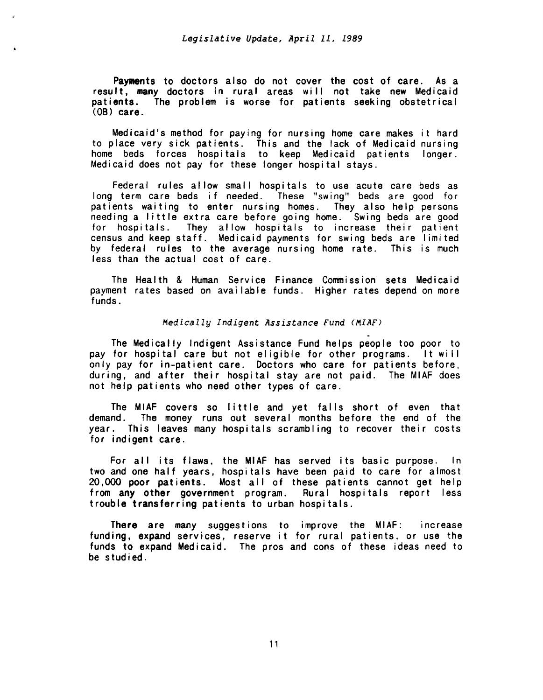Payments to doctors also do not cover the cost of care. As a result, many doctors in rural areas will not take new Medicaid patients. The problem is worse for patients seeking obstetrical  $(0B)$  care.

Medicaid's method for paying for nursing home care makes it hard to place very sick patients. This and the lack of Medicaid nursing home beds forces hospitals to keep Medicaid patients longer. Medicaid does not pay for these longer hospital stays.

Federal rules allow small hospitals to use acute care beds as long term care beds if needed. These "swing" beds are good for patients waiting to enter nursing homes. They also help persons needing a little extra care before going home. Swing beds are good for hospitals. They allow hospitals to increase their patient census and keep staff. Medicaid payments for swing beds are I imited by federal rules to the average nursing home rate. This is much less than the actual cost of care.

The Health & Human Service Finance Commission sets Medicaid payment rates based on available funds. Higher rates depend on more funds.

### *Medically Indigent Assistance Fund <MIAF)*

. The Medically Indigent Assistance Fund helps people too poor to pay for hospital care but not eligible for other programs. It wi II only pay for in-patient care. Doctors who care for patients before, during, and after their hospital stay are not paid. The MIAF does not help patients who need other types of care.

The MIAF covers so little and yet falls short of even that demand. The money runs out several months before the end of the year. This leaves many hospitals scrambling to recover their costs for indigent care.

For all its flaws, the MIAF has served its basic purpose. In two and one half years, hospitals have been paid to care for almost 20,000 poor patients. Most all of these patients cannot get help from any other government program. Rural hospitals report less trouble transferring patients to urban hospitals.

There are many suggestions to improve the MIAF: increase funding, expand services, reserve it for rural patients, or use the funds to expand Medicaid. The pros and cons of these ideas need to be studied.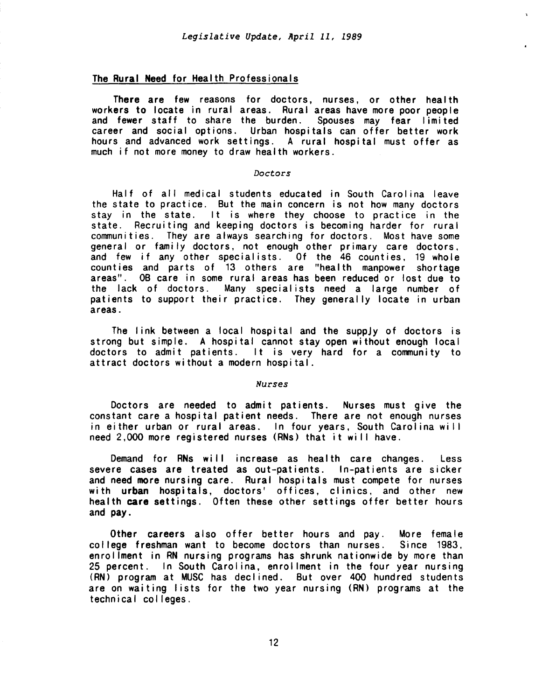## The Rural Need for Health Professionals

There are few reasons for doctors, nurses, or other health workers to locate in rural areas. Rural areas have more poor people and fewer staff to share the burden. Spouses may fear limited career and social options. Urban hospitals can offer better work hours and advanced work settings. A rural hospital must offer as much if not more money to draw health workers.

#### *Doctors*

Half of all medical students educated in South Carolina leave the state to practice. But the main concern is not how many doctors stay in the state. It is where they choose to practice in the state. Recruiting and keeping doctors is becoming harder for rural communities. They are always searching for doctors. Most have some general or family doctors, not enough other primary care doctors, and few if any other specialists. Of the 46 counties, 19 whole counties and parts of 13 others are "health manpower shortage areas". OB care in some rural areas has been reduced or lost due to the lack of doctors. Many specialists need a large number of patients to support their practice. They generally locate in urban areas.

The link between a local hospital and the suppJy of doctors is strong but simple. A hospital cannot stay open without enough local doctors to admit patients. It is very hard for a community to attract doctors without a modern hospital.

## *Nurses*

Doctors are needed to admit patients. Nurses must give the constant care a hospital patient needs. There are not enough nurses in either urban or rural areas. In four years, South Carolina will need 2,000 more registered nurses (RNs) that it will have.

Demand for RNs will increase as health care changes. Less severe cases are treated as out-patients. In-patients are sicker and need more nursing care. Rural hospitals must compete for nurses with urban hospitals, doctors' offices, clinics, and other new health care settings. Often these other settings offer better hours and pay.

Other careers also offer better hours and pay. More female college freshman want to become doctors than nurses. Since 1983, enrollment in RN nursing programs has shrunk nationwide by more than 25 percent. In South Carolina, enrollment in the four year nursing (RN) program at MUSC has dec I ined. But over 400 hundred students are on waiting lists for the two year nursing (RN) programs at the technical col leges.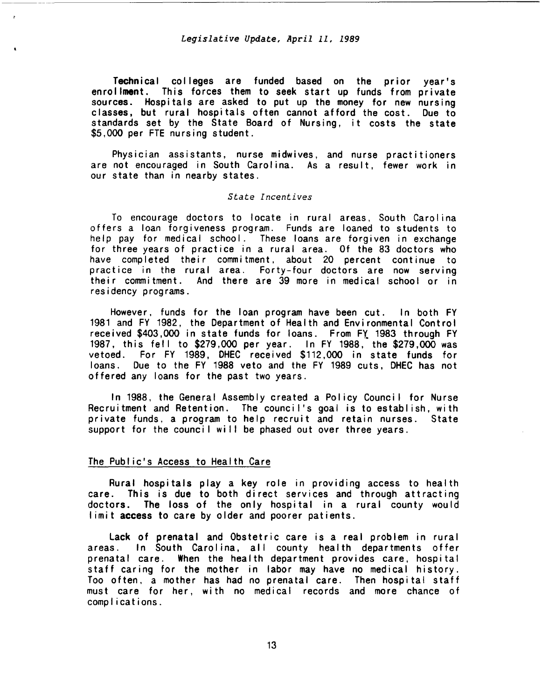-~----~- -----------------------------------------

Technical colleges are funded based on the prior year's enrollment. This forces them to seek start up funds from private sources. Hospitals are asked to put up the money for new nursing classes, but rural hospitals often cannot afford the cost. Due to standards set by the State Board of Nursing, it costs the state \$5,000 per FTE nursing student.

Physician assistants, nurse midwives, and nurse practitioners are not encouraged in South Carolina. As a result, fewer work in our state than in nearby states.

### *State Incentives*

To encourage doctors to locate in rural areas, South Carol ina offers a loan forgiveness program. Funds are loaned to students to help pay for medical school. These loans are forgiven in exchange for three years of practice in a rural area. Of the 83 doctors who have completed their commitment, about 20 percent continue to practice in the rural area. Forty-four doctors are now serving their commitment. And there are 39 more in medical school or in residency programs.

However, funds for the loan program have been cut. In both FY 1981 and FY 1982, the Department of Health and Environmental Control received \$403,000 in state funds for loans. From FY. 1983 through FY 1987, this fell to \$279,000 per year. In FY 1988, the \$279,000 was vetoed. For FY 1989, DHEC received \$112,000 in state funds for loans. Due to the FY 1988 veto and the FY 1989 cuts, DHEC has not offered any loans for the past two years.

In 1988, the General Assembly created a Policy Council for Nurse Recruitment and Retention. The council's goal is to establish, with private funds, a program to help recruit and retain nurses. State support for the council will be phased out over three years.

### The Public's Access to Health Care

Rural hospitals play a key role in providing access to health care. This is due to both direct services and through attracting doctors. The loss of the only hospital in a rural county would limit access to care by older and poorer patients.

lack of prenatal and Obstetric care is a real problem in rural areas. In South Carolina, all county health departments offer prenatal care. When the health department provides care, hospital staff caring for the mother in labor may have no medical history. Too often. a mother has had no prenatal care. Then hospital staff must care for her, with no medical records and more chance of comp I i cations.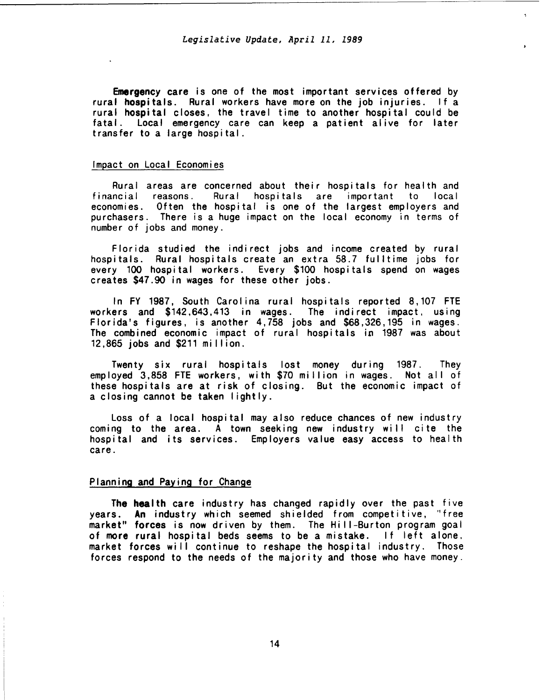Emergency care is one of the most important services offered by rural hospitals. Rural workers have more on the job injuries. If a rural hospital closes, the travel time to another hospital could be fatal. Local emergency care can keep a patient alive for later transfer to a large hospital.

#### Impact on Local Economies

Rural areas are concerned about their hospitals for health and financial reasons. Rural hospitals are important to local economies. Often the hospital is one of the largest employers and purchasers. There is a huge impact on the local economy in terms of number of jobs and money.

Florida studied the indirect jobs and income created by rural hospitals. Rural hospitals create an extra 58.7 fulltime jobs for every 100 hospital workers. Every \$100 hospitals spend on wages creates \$47.90 in wages for these other jobs.

In FY 1987, South Carolina rural hospitals reported 8,107 FTE workers and \$142,643,413 in wages. The indirect impact, using Florida's figures, is another 4, 758 jobs and \$68,326,195 in wages. The combined economic impact of rural hospitals in 1987 was about 12,865 jobs and \$211 mi I lion.

Twenty six rural hospitals lost money during 1987. They employed 3.858 FTE workers, with \$70 million in wages. Not all of these hospitals are at risk of closing. But the economic impact of a closing cannot be taken lightly.

Loss of a local hospital may also reduce chances of new industry coming to the area. A town seeking new industry will cite the hospital and its services. Employers value easy access to health care.

# Planning and Paying for Change

The health care industry has changed rapidly over the past five years. An industry which seemed shielded from competitive, "free market" forces is now driven by them. The Hill-Burton program goal of more rural hospital beds seems to be a mistake. If left alone. market forces will continue to reshape the hospital industry. Those forces respond to the needs of the majority and those who have money.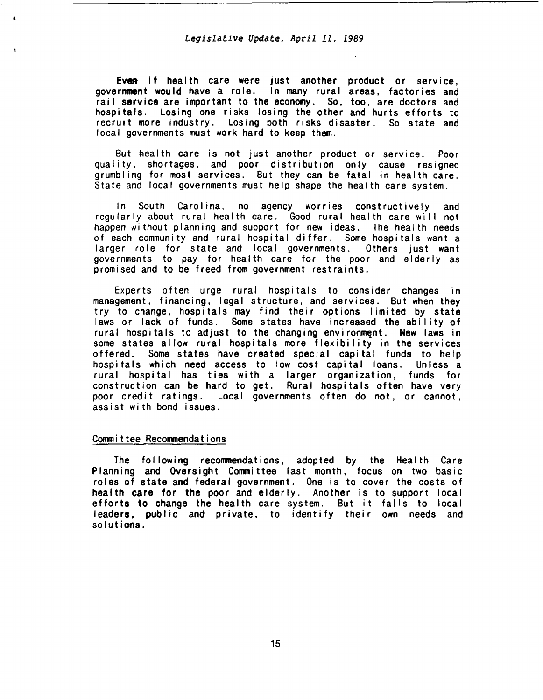Even if health care were just another product or service, government would have a role. In many rural areas, factories and rail service are important to the economy. So, too, are doctors and hospitals. Losing one risks losing the other and hurts efforts to recruit more industry. Losing both risks disaster. So state and local governments must work hard to keep them.

But health care is not just another product or service. Poor quality, shortages, and poor distribution only cause resigned grumbling for most services. But they can be fatal in health care. State and local governments must help shape the health care system.

In South Carolina, no agency worries constructively and regularly about rural health care. Good rural health care will not happen without planning and support for new ideas. The health needs of each community and rural hospital differ. Some hospitals want a larger role for state and local governments. Others just want governments to pay for health care for the poor and elderly as promised and to be freed from government restraints.

Experts often urge rural hospitals to consider changes in management, financing, legal structure, and services. But when they try to change, hospitals may find their options I imi ted by state laws or lack of funds. Some states have increased the ability of rural hospitals to adjust to the changing environment. New laws in some states allow rural hospitals more flexibility in the services offered. Some states have created special capital funds to help hospitals which need access to low cost capital loans. Unless a rural hospital has ties with a larger organization, funds for construction can be hard to get. Rural hospitals often have very poor credit ratings. Local governments often do not, or cannot, assist with bond issues.

#### Committee Recommendations

 $\bullet$ 

The following recommendations, adopted by the Health Care Planning and Oversight Committee last month, focus on two basic roles of state and federal government. One is to cover the costs of health care for the poor and elderly. Another is to support local efforts to change the health care system. But it falls to local leaders, public and private, to identify their own needs and solutions.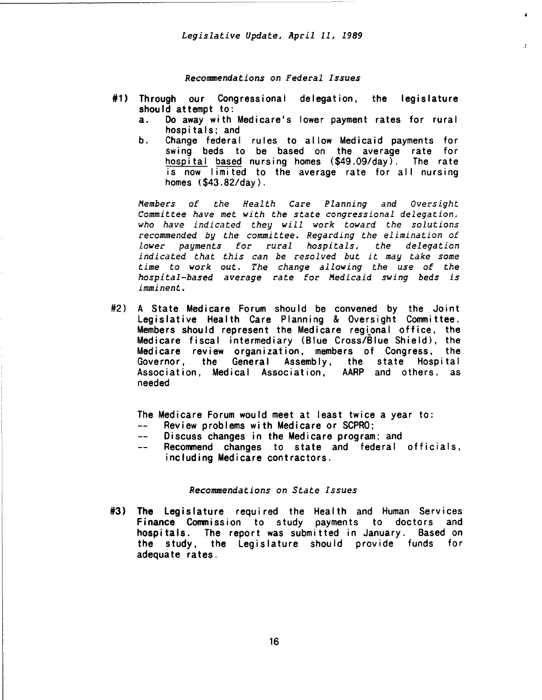*Recommendations on Federal Issues* 

- #1) Through our Congressional delegation, the legislature should attempt to:
	- a. Do away with Medicare's lower payment rates for rural hospitals; and

 $\mathbf{r}$ 

b. Change federal rules to allow Medicaid payments for swing beds to be based on the average rate for hospital based nursing homes (\$49.09/day). The rate is now limited to the average rate for all nursing homes (\$43.82/day).

*Members of the Health Care Planning and Oversight Committee have met with the state congressional delegation, who have indicated they will work toward the solutions recommended by the committee. Regarding the elimination of lower payments for rural hospitals, the delegation indicated that this can be resolved but it may take some time to work out. The change allowing the use of the hospital-based average rate for Medicaid swing beds is imminent.* 

#2) A State Medicare Forum should be convened by the Joint Legislative Health Care Planning & Oversight Committee. Members should represent the Medicare regtonal office, the Medicare fiscal intermediary (Blue Cross/Blue Shield), the Medicare review organization, members of Congress, the General Assembly, the state Hospital Association, Medical Association, AARP and others, as needed

The Medicare Forum would meet at least twice a year to:

- $---$ Review problems with Medicare or SCPRO;
- $\frac{1}{2} \frac{1}{2} \left( \frac{1}{2} \right) \left( \frac{1}{2} \right) \left( \frac{1}{2} \right) \left( \frac{1}{2} \right) \left( \frac{1}{2} \right) \left( \frac{1}{2} \right) \left( \frac{1}{2} \right) \left( \frac{1}{2} \right) \left( \frac{1}{2} \right) \left( \frac{1}{2} \right) \left( \frac{1}{2} \right) \left( \frac{1}{2} \right) \left( \frac{1}{2} \right) \left( \frac{1}{2} \right) \left( \frac{1}{2} \right) \left( \frac{1}{2} \$ Discuss changes in the Medicare program; and
- $\overline{a}$ Recommend changes to state and federal officials, including Medicare contractors.

### *Recommendations on State Issues*

#3) The Legislature required the Health and Human Services Finance Commission to study payments to doctors and hospitals. The report was submitted in January. Based on the study, the Legislature should provide funds for adequate rates.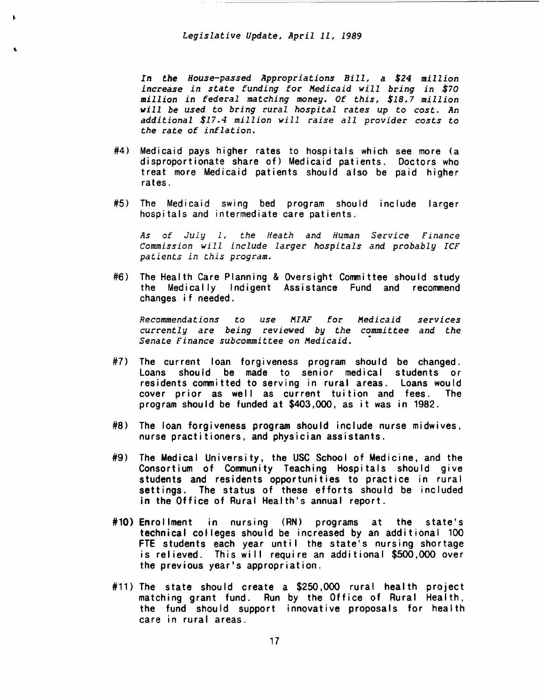'

*In the House-passed Appropriations Bill, a \$24 million increase in state funding for Medicaid will bring in \$70 million in federal matching money. Of this, \$18.7 million will be used to bring rural hospital rates up to cost. An additional \$17.4 million will raise all provider costs to the rate of inflation.* 

- #4) Medicaid pays higher rates to hospitals which see more (a disproportionate share of) Medicaid patients. Doctors who treat more Medicaid patients should also be paid higher rates.
- #5) The Medicaid swing bed program should include larger hospitals and intermediate care patients.

*As of July 1, the Heath and Human Service Finance Commission will include larger hospitals and probably ICF patients in this program.* 

#6) The Health Care Planning & Oversight Committee should study the Medically Indigent Assistance Fund and recommend changes if needed.

*Recommendations to use MIAF for Medicaid currently* are *being reviewed by the committee and the Senate Finance subcommittee on Medicaid. services* 

- #7) The current loan forgiveness program should be changed. Loans should be made to senior medical students or residents committed to serving in rural areas. Loans would<br>cover prior as well as current tuition and fees. The cover prior as well as current tuition and fees. program should be funded at \$403,000, as it was in 1982.
- #8) The loan forgiveness program should include nurse midwives, nurse practitioners, and physician assistants.
- #9) The Medical University, the USC School of Medicine, and the Consortium of Community Teaching Hospitals should give students and residents opportunities to practice in rural settings. The status of these efforts should be included in the Office of Rural Health's annual report.
- #10) Enrollment in nursing (RN) programs at the state's technical colleges should be increased by an additional 100 FTE students each year until the state's nursing shortage is relieved. This wi II require an additional \$500,000 over the previous year's appropriation.
- #11) The state should create a \$250,000 rural health project matching grant fund. Run by the Office of Rural Health, the fund should support innovative proposals for health care in rural areas.